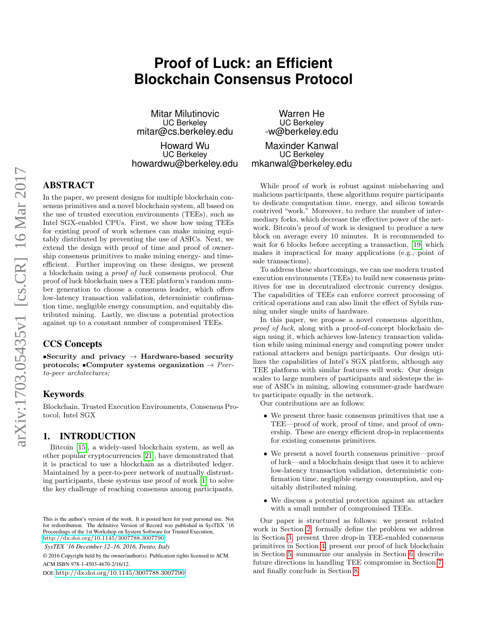# **Proof of Luck: an Efficient Blockchain Consensus Protocol**

Mitar Milutinovic UC Berkeley mitar@cs.berkeley.edu

Howard Wu UC Berkeley howardwu@berkeley.edu

# ABSTRACT

In the paper, we present designs for multiple blockchain consensus primitives and a novel blockchain system, all based on the use of trusted execution environments (TEEs), such as Intel SGX-enabled CPUs. First, we show how using TEEs for existing proof of work schemes can make mining equitably distributed by preventing the use of ASICs. Next, we extend the design with proof of time and proof of ownership consensus primitives to make mining energy- and timeefficient. Further improving on these designs, we present a blockchain using a proof of luck consensus protocol. Our proof of luck blockchain uses a TEE platform's random number generation to choose a consensus leader, which offers low-latency transaction validation, deterministic confirmation time, negligible energy consumption, and equitably distributed mining. Lastly, we discuss a potential protection against up to a constant number of compromised TEEs.

# CCS Concepts

•Security and privacy  $\rightarrow$  Hardware-based security protocols; •Computer systems organization  $\rightarrow$  Peerto-peer architectures;

# Keywords

Blockchain, Trusted Execution Environments, Consensus Protocol, Intel SGX

# 1. INTRODUCTION

Bitcoin [\[15\]](#page-5-0), a widely-used blockchain system, as well as other popular cryptocurrencies [\[21\]](#page-5-1), have demonstrated that it is practical to use a blockchain as a distributed ledger. Maintained by a peer-to-peer network of mutually distrusting participants, these systems use proof of work [\[1\]](#page-5-2) to solve the key challenge of reaching consensus among participants.

DOI: <http://dx.doi.org/10.1145/3007788.3007790>

Warren He UC Berkeley -w@berkeley.edu

Maxinder Kanwal UC Berkeley mkanwal@berkeley.edu

While proof of work is robust against misbehaving and malicious participants, these algorithms require participants to dedicate computation time, energy, and silicon towards contrived "work." Moreover, to reduce the number of intermediary forks, which decrease the effective power of the network, Bitcoin's proof of work is designed to produce a new block on average every 10 minutes. It is recommended to wait for 6 blocks before accepting a transaction, [\[19\]](#page-5-3) which makes it impractical for many applications (e.g., point of sale transactions).

To address these shortcomings, we can use modern trusted execution environments (TEEs) to build new consensus primitives for use in decentralized electronic currency designs. The capabilities of TEEs can enforce correct processing of critical operations and can also limit the effect of Sybils running under single units of hardware.

In this paper, we propose a novel consensus algorithm, proof of luck, along with a proof-of-concept blockchain design using it, which achieves low-latency transaction validation while using minimal energy and computing power under rational attackers and benign participants. Our design utilizes the capabilities of Intel's SGX platform, although any TEE platform with similar features will work. Our design scales to large numbers of participants and sidesteps the issue of ASICs in mining, allowing consumer-grade hardware to participate equally in the network.

Our contributions are as follows:

- We present three basic consensus primitives that use a TEE—proof of work, proof of time, and proof of ownership. These are energy efficient drop-in replacements for existing consensus primitives.
- We present a novel fourth consensus primitive—proof of luck—and a blockchain design that uses it to achieve low-latency transaction validation, deterministic confirmation time, negligible energy consumption, and equitably distributed mining.
- We discuss a potential protection against an attacker with a small number of compromised TEEs.

Our paper is structured as follows: we present related work in Section [2;](#page-1-0) formally define the problem we address in Section [3;](#page-1-1) present three drop-in TEE-enabled consensus primitives in Section [4;](#page-2-0) present our proof of luck blockchain in Section [5;](#page-2-1) summarize our analysis in Section [6;](#page-4-0) describe future directions in handling TEE compromise in Section [7;](#page-4-1) and finally conclude in Section [8.](#page-5-4)

This is the author's version of the work. It is posted here for your personal use. Not for redistribution. The definitive Version of Record was published in SysTEX '16 Proceedings of the 1st Workshop on System Software for Trusted Execution, <http://dx.doi.org/10.1145/3007788.3007790>.

*SysTEX '16 December 12–16, 2016, Trento, Italy*

<sup>© 2016</sup> Copyright held by the owner/author(s). Publication rights licensed to ACM. ACM ISBN 978-1-4503-4670-2/16/12.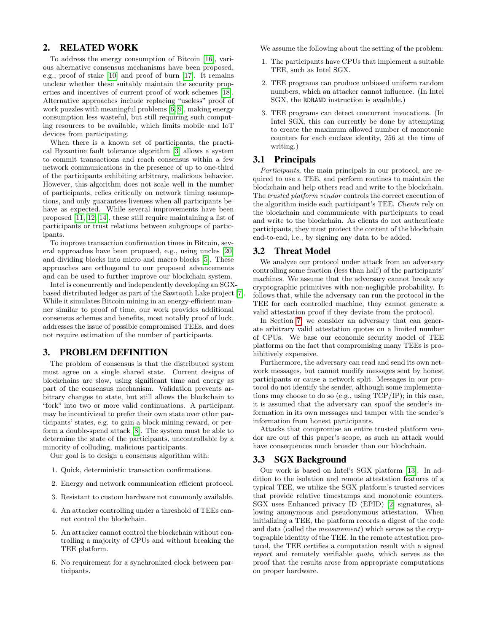# <span id="page-1-0"></span>2. RELATED WORK

To address the energy consumption of Bitcoin [\[16\]](#page-5-5), various alternative consensus mechanisms have been proposed, e.g., proof of stake [\[10\]](#page-5-6) and proof of burn [\[17\]](#page-5-7). It remains unclear whether these suitably maintain the security properties and incentives of current proof of work schemes [\[18\]](#page-5-8). Alternative approaches include replacing "useless" proof of work puzzles with meaningful problems [\[6,](#page-5-9) [9\]](#page-5-10), making energy consumption less wasteful, but still requiring such computing resources to be available, which limits mobile and IoT devices from participating.

When there is a known set of participants, the practical Byzantine fault tolerance algorithm [\[3\]](#page-5-11) allows a system to commit transactions and reach consensus within a few network communications in the presence of up to one-third of the participants exhibiting arbitrary, malicious behavior. However, this algorithm does not scale well in the number of participants, relies critically on network timing assumptions, and only guarantees liveness when all participants behave as expected. While several improvements have been proposed [\[11,](#page-5-12) [12,](#page-5-13) [14\]](#page-5-14), these still require maintaining a list of participants or trust relations between subgroups of participants.

To improve transaction confirmation times in Bitcoin, several approaches have been proposed, e.g., using uncles [\[20\]](#page-5-15) and dividing blocks into micro and macro blocks [\[5\]](#page-5-16). These approaches are orthogonal to our proposed advancements and can be used to further improve our blockchain system.

Intel is concurrently and independently developing an SGXbased distributed ledger as part of the Sawtooth Lake project [\[7\]](#page-5-17). While it simulates Bitcoin mining in an energy-efficient manner similar to proof of time, our work provides additional consensus schemes and benefits, most notably proof of luck, addresses the issue of possible compromised TEEs, and does not require estimation of the number of participants.

# <span id="page-1-1"></span>3. PROBLEM DEFINITION

The problem of consensus is that the distributed system must agree on a single shared state. Current designs of blockchains are slow, using significant time and energy as part of the consensus mechanism. Validation prevents arbitrary changes to state, but still allows the blockchain to "fork" into two or more valid continuations. A participant may be incentivized to prefer their own state over other participants' states, e.g. to gain a block mining reward, or perform a double-spend attack [\[8\]](#page-5-18). The system must be able to determine the state of the participants, uncontrollable by a minority of colluding, malicious participants.

Our goal is to design a consensus algorithm with:

- 1. Quick, deterministic transaction confirmations.
- 2. Energy and network communication efficient protocol.
- 3. Resistant to custom hardware not commonly available.
- 4. An attacker controlling under a threshold of TEEs cannot control the blockchain.
- 5. An attacker cannot control the blockchain without controlling a majority of CPUs and without breaking the TEE platform.
- 6. No requirement for a synchronized clock between participants.

We assume the following about the setting of the problem:

- 1. The participants have CPUs that implement a suitable TEE, such as Intel SGX.
- 2. TEE programs can produce unbiased uniform random numbers, which an attacker cannot influence. (In Intel SGX, the RDRAND instruction is available.)
- 3. TEE programs can detect concurrent invocations. (In Intel SGX, this can currently be done by attempting to create the maximum allowed number of monotonic counters for each enclave identity, 256 at the time of writing.)

#### 3.1 Principals

Participants, the main principals in our protocol, are required to use a TEE, and perform routines to maintain the blockchain and help others read and write to the blockchain. The trusted platform vendor controls the correct execution of the algorithm inside each participant's TEE. Clients rely on the blockchain and communicate with participants to read and write to the blockchain. As clients do not authenticate participants, they must protect the content of the blockchain end-to-end, i.e., by signing any data to be added.

#### 3.2 Threat Model

We analyze our protocol under attack from an adversary controlling some fraction (less than half) of the participants' machines. We assume that the adversary cannot break any cryptographic primitives with non-negligible probability. It follows that, while the adversary can run the protocol in the TEE for each controlled machine, they cannot generate a valid attestation proof if they deviate from the protocol.

In Section [7,](#page-4-1) we consider an adversary that can generate arbitrary valid attestation quotes on a limited number of CPUs. We base our economic security model of TEE platforms on the fact that compromising many TEEs is prohibitively expensive.

Furthermore, the adversary can read and send its own network messages, but cannot modify messages sent by honest participants or cause a network split. Messages in our protocol do not identify the sender, although some implementations may choose to do so (e.g., using TCP/IP); in this case, it is assumed that the adversary can spoof the sender's information in its own messages and tamper with the sender's information from honest participants.

Attacks that compromise an entire trusted platform vendor are out of this paper's scope, as such an attack would have consequences much broader than our blockchain.

#### 3.3 SGX Background

Our work is based on Intel's SGX platform [\[13\]](#page-5-19). In addition to the isolation and remote attestation features of a typical TEE, we utilize the SGX platform's trusted services that provide relative timestamps and monotonic counters. SGX uses Enhanced privacy ID (EPID) [\[2\]](#page-5-20) signatures, allowing anonymous and pseudonymous attestation. When initializing a TEE, the platform records a digest of the code and data (called the measurement) which serves as the cryptographic identity of the TEE. In the remote attestation protocol, the TEE certifies a computation result with a signed report and remotely verifiable quote, which serves as the proof that the results arose from appropriate computations on proper hardware.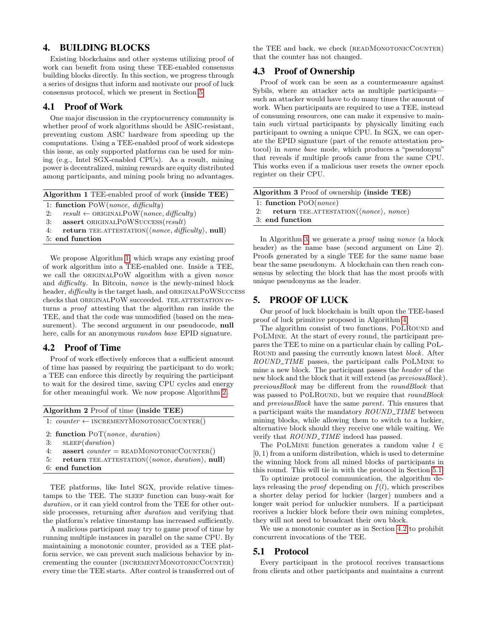#### <span id="page-2-0"></span>4. BUILDING BLOCKS

Existing blockchains and other systems utilizing proof of work can benefit from using these TEE-enabled consensus building blocks directly. In this section, we progress through a series of designs that inform and motivate our proof of luck consensus protocol, which we present in Section [5.](#page-2-1)

### 4.1 Proof of Work

One major discussion in the cryptocurrency community is whether proof of work algorithms should be ASIC-resistant, preventing custom ASIC hardware from speeding up the computations. Using a TEE-enabled proof of work sidesteps this issue, as only supported platforms can be used for mining (e.g., Intel SGX-enabled CPUs). As a result, mining power is decentralized, mining rewards are equity distributed among participants, and mining pools bring no advantages.

<span id="page-2-2"></span>

| Algorithm 1 TEE-enabled proof of work (inside TEE)                              |
|---------------------------------------------------------------------------------|
| 1: function $\text{Pow}(none, \text{ difficulty})$                              |
| $result \leftarrow ORIGNALPOW(nonce, difficulty))$<br>2:                        |
| assert ORIGINALPOWSUCCESS(result)<br>3:                                         |
| <b>return</b> TEE.ATTESTATION( $\langle none, difficulty \rangle$ , null)<br>4: |
| 5: end function                                                                 |
|                                                                                 |

We propose Algorithm [1,](#page-2-2) which wraps any existing proof of work algorithm into a TEE-enabled one. Inside a TEE, we call the ORIGINALPOW algorithm with a given *nonce* and difficulty. In Bitcoin, nonce is the newly-mined block header, difficulty is the target hash, and ORIGINALPOWSUCCESS checks that ORIGINALPOW succeeded. TEE.ATTESTATION returns a proof attesting that the algorithm ran inside the TEE, and that the code was unmodified (based on the measurement). The second argument in our pseudocode, **null** here, calls for an anonymous *random base* EPID signature.

#### <span id="page-2-6"></span>4.2 Proof of Time

Proof of work effectively enforces that a sufficient amount of time has passed by requiring the participant to do work; a TEE can enforce this directly by requiring the participant to wait for the desired time, saving CPU cycles and energy for other meaningful work. We now propose Algorithm [2.](#page-2-3)

<span id="page-2-3"></span>

| Algorithm 2 Proof of time (inside TEE) |                                                         |  |  |  |
|----------------------------------------|---------------------------------------------------------|--|--|--|
|                                        | 1: $counter \leftarrow INCREMENTMONOTONICCOUNTER()$     |  |  |  |
|                                        | 2: function $POT(nonce, duration)$                      |  |  |  |
| 3:                                     | SLEEP(duration)                                         |  |  |  |
| 4:                                     | <b>assert</b> <i>counter</i> = $READMONOTONICCOUNTER()$ |  |  |  |

- $return$  TEE.ATTESTATION( $\langle none, duration \rangle$ , null)
- 6: end function

TEE platforms, like Intel SGX, provide relative timestamps to the TEE. The SLEEP function can busy-wait for duration, or it can yield control from the TEE for other outside processes, returning after duration and verifying that the platform's relative timestamp has increased sufficiently.

A malicious participant may try to game proof of time by running multiple instances in parallel on the same CPU. By maintaining a monotonic counter, provided as a TEE platform service, we can prevent such malicious behavior by incrementing the counter (INCREMENTMONOTONICCOUNTER) every time the TEE starts. After control is transferred out of the TEE and back, we check (READMONOTONICCOUNTER) that the counter has not changed.

# <span id="page-2-7"></span>4.3 Proof of Ownership

Proof of work can be seen as a countermeasure against Sybils, where an attacker acts as multiple participants such an attacker would have to do many times the amount of work. When participants are required to use a TEE, instead of consuming resources, one can make it expensive to maintain such virtual participants by physically limiting each participant to owning a unique CPU. In SGX, we can operate the EPID signature (part of the remote attestation protocol) in name base mode, which produces a "pseudonym" that reveals if multiple proofs came from the same CPU. This works even if a malicious user resets the owner epoch register on their CPU.

<span id="page-2-4"></span>

| Algorithm 3 Proof of ownership (inside TEE)                |  |
|------------------------------------------------------------|--|
| 1: function $PoO(nonce)$                                   |  |
| 2: return TEE.ATTESTATION( $\langle none \rangle$ , nonce) |  |
| 3: end function                                            |  |
|                                                            |  |

In Algorithm [3,](#page-2-4) we generate a proof using nonce (a block header) as the name base (second argument on Line 2). Proofs generated by a single TEE for the same name base bear the same pseudonym. A blockchain can then reach consensus by selecting the block that has the most proofs with unique pseudonyms as the leader.

### <span id="page-2-1"></span>5. PROOF OF LUCK

Our proof of luck blockchain is built upon the TEE-based proof of luck primitive proposed in Algorithm [4.](#page-3-0)

The algorithm consist of two functions, POLROUND and PoLMine. At the start of every round, the participant prepares the TEE to mine on a particular chain by calling PoL-Round and passing the currently known latest block. After ROUND\_TIME passes, the participant calls POLMINE to mine a new block. The participant passes the header of the new block and the block that it will extend (as previousBlock). previousBlock may be different from the roundBlock that was passed to POLROUND, but we require that roundBlock and previousBlock have the same parent. This ensures that a participant waits the mandatory  $ROUND$ -TIME between mining blocks, while allowing them to switch to a luckier, alternative block should they receive one while waiting. We verify that  $ROUND\_TIME$  indeed has passed.

The POLMINE function generates a random value  $l \in$  $[0, 1)$  from a uniform distribution, which is used to determine the winning block from all mined blocks of participants in this round. This will tie in with the protocol in Section [5.1.](#page-2-5)

To optimize protocol communication, the algorithm delays releasing the *proof* depending on  $f(l)$ , which prescribes a shorter delay period for luckier (larger) numbers and a longer wait period for unluckier numbers. If a participant receives a luckier block before their own mining completes, they will not need to broadcast their own block.

We use a monotonic counter as in Section [4.2](#page-2-6) to prohibit concurrent invocations of the TEE.

# <span id="page-2-5"></span>5.1 Protocol

Every participant in the protocol receives transactions from clients and other participants and maintains a current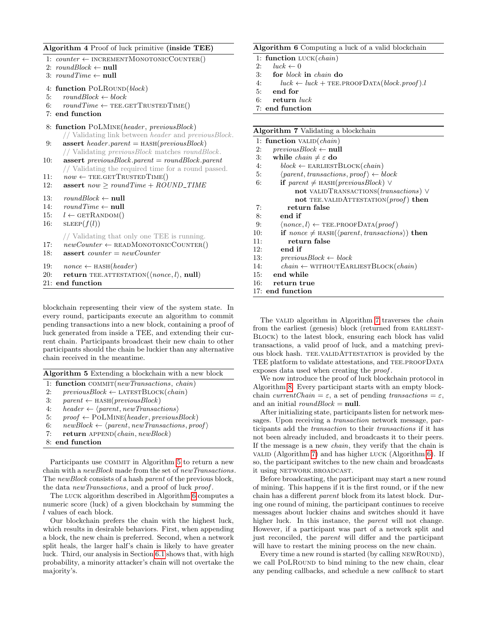#### <span id="page-3-0"></span>Algorithm 4 Proof of luck primitive (inside TEE)

1:  $counter \leftarrow INCREMENTMONOTONICCOUNTER()$ 2:  $roundBlock \leftarrow null$ 3:  $roundTime \leftarrow null$ 4: function POLROUND(block) 5:  $roundBlock \leftarrow block$ 6:  $roundTime \leftarrow \text{TEE.GETTRUSTEDTIME}()$ 7: end function 8: function POLMINE(header, previousBlock) // Validating link between header and previousBlock. 9: **assert** header.parent =  $HASH(reviousBlock)$ // Validating previousBlock matches roundBlock. 10: **assert** previous Block.parent = round Block.parent // Validating the required time for a round passed. 11:  $now \leftarrow \text{TEE.GETTRUSTEDTIME}()$ 12: assert  $now \geq roundTime + ROUND\_TIME$ 13:  $roundBlock \leftarrow null$ 14:  $roundTime \leftarrow null$ 15:  $l \leftarrow \text{GETRANDOM}()$ 16:  $SLEEP(f(l))$ // Validating that only one TEE is running. 17:  $newCounter \leftarrow \text{READMONOONICCOUNTER}()$ 18: **assert** counter  $= newCounter$ 19:  $\textit{none} \leftarrow \text{HASH}(\textit{header})$ 20: return TEE.ATTESTATION( $\langle none, l \rangle$ , null) 21: end function

blockchain representing their view of the system state. In every round, participants execute an algorithm to commit pending transactions into a new block, containing a proof of luck generated from inside a TEE, and extending their current chain. Participants broadcast their new chain to other participants should the chain be luckier than any alternative chain received in the meantime.

<span id="page-3-1"></span>

| Algorithm 5 Extending a blockchain with a new block |  |  |  |  |  |  |  |  |
|-----------------------------------------------------|--|--|--|--|--|--|--|--|
|-----------------------------------------------------|--|--|--|--|--|--|--|--|

| 1: function COMMIT(newTransactions, chain) |  |
|--------------------------------------------|--|
|--------------------------------------------|--|

- 2:  $previousBlock \leftarrow \text{LATESTBlock}(chain)$
- 3:  $parent \leftarrow \text{HASH}(previousBlock)$
- 4: header  $\leftarrow$  \parent, new Transactions\
- 5:  $proof \leftarrow \text{POLMINE}(header, previousBlock)$
- 6:  $newBlock \leftarrow \langle parent, new Transactions, proof \rangle$
- 7: return  $APPEND(chain, newBlock)$
- 8: end function

Participants use COMMIT in Algorithm [5](#page-3-1) to return a new chain with a newBlock made from the set of newTransactions. The newBlock consists of a hash parent of the previous block, the data new Transactions, and a proof of luck proof.

The luck algorithm described in Algorithm [6](#page-3-2) computes a numeric score (luck) of a given blockchain by summing the l values of each block.

Our blockchain prefers the chain with the highest luck, which results in desirable behaviors. First, when appending a block, the new chain is preferred. Second, when a network split heals, the larger half's chain is likely to have greater luck. Third, our analysis in Section [6.1](#page-4-2) shows that, with high probability, a minority attacker's chain will not overtake the majority's.

#### <span id="page-3-2"></span>Algorithm 6 Computing a luck of a valid blockchain

- 1: function LUCK(chain)
- 2:  $luck \leftarrow 0$
- 3: for block in chain do
- 4:  $luck \leftarrow luck + \text{TEE.PROOFDATA}(block.proot).$
- 5: end for
- 6: return luck
- 7: end function

# <span id="page-3-3"></span>Algorithm 7 Validating a blockchain

|     | Algorithm 7 Validating a blockchain                                 |
|-----|---------------------------------------------------------------------|
|     | 1: function $\text{VALID}(chain)$                                   |
| 2:  | $previousBlock \leftarrow null$                                     |
| 3:  | while $chain \neq \varepsilon$ do                                   |
| 4:  | $block \leftarrow$ EARLIESTBLOCK( <i>chain</i> )                    |
| 5:  | $\langle parent, transactions, proof \rangle \leftarrow block$      |
| 6:  | <b>if</b> parent $\neq$ HASH(previous Block) $\vee$                 |
|     | not VALIDTRANSACTIONS ( <i>transactions</i> ) V                     |
|     | not TEE.VALIDATTESTATION(proof) then                                |
| 7:  | return false                                                        |
| 8:  | end if                                                              |
| 9:  | $\langle none, l \rangle \leftarrow \text{TEE.PROOFDATA}(proof)$    |
| 10: | if nonce $\neq$ HASH( $\langle parent, transactions \rangle$ ) then |
| 11: | return false                                                        |
| 12: | end if                                                              |
| 13: | $previousBlock \leftarrow block$                                    |
| 14: | $chain \leftarrow$ WITHOUTEARLIESTBLOCK( $chain$ )                  |
| 15: | end while                                                           |
|     | 16: return true                                                     |
|     | 17: end function                                                    |
|     |                                                                     |

The value algorithm in Algorithm [7](#page-3-3) traverses the *chain* from the earliest (genesis) block (returned from EARLIEST-Block) to the latest block, ensuring each block has valid transactions, a valid proof of luck, and a matching previous block hash. TEE.VALIDATTESTATION is provided by the TEE platform to validate attestations, and TEE PROOFDATA exposes data used when creating the proof .

We now introduce the proof of luck blockchain protocol in Algorithm [8.](#page-4-3) Every participant starts with an empty blockchain currentChain =  $\varepsilon$ , a set of pending transactions =  $\varepsilon$ , and an initial  $roundBlock = null$ .

After initializing state, participants listen for network messages. Upon receiving a transaction network message, participants add the transaction to their transactions if it has not been already included, and broadcasts it to their peers. If the message is a new chain, they verify that the chain is value (Algorithm [7\)](#page-3-3) and has higher luck (Algorithm [6\)](#page-3-2). If so, the participant switches to the new chain and broadcasts it using NETWORK.BROADCAST.

Before broadcasting, the participant may start a new round of mining. This happens if it is the first round, or if the new chain has a different parent block from its latest block. During one round of mining, the participant continues to receive messages about luckier chains and switches should it have higher luck. In this instance, the *parent* will not change. However, if a participant was part of a network split and just reconciled, the parent will differ and the participant will have to restart the mining process on the new chain.

Every time a new round is started (by calling NEWROUND), we call POLROUND to bind mining to the new chain, clear any pending callbacks, and schedule a new callback to start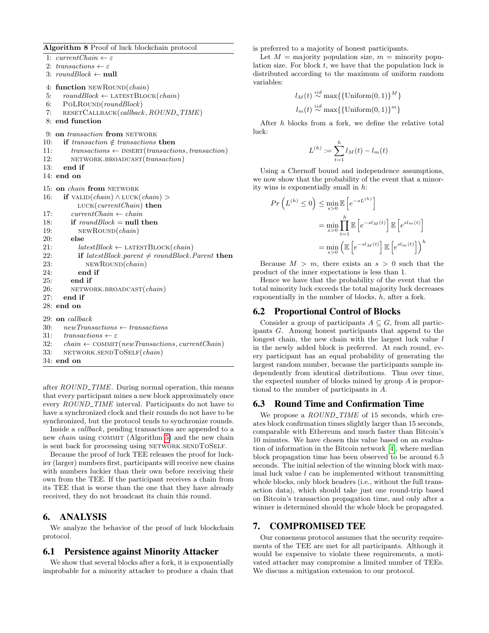<span id="page-4-3"></span>Algorithm 8 Proof of luck blockchain protocol

1:  $currentChain \leftarrow \varepsilon$ 2: transactions  $\leftarrow \varepsilon$ 3:  $roundBlock \leftarrow null$ 4: function NEWROUND(chain) 5:  $roundBlock \leftarrow \text{LATES} \cdot \text{BLock}(chain)$  $6: \quad \text{PoLROUND}(roundBlock)$ 7: RESETCALLBACK(callback, ROUND\_TIME) 8: end function 9: on transaction from NETWORK 10: if transaction  $\notin$  transactions then 11:  $transactions \leftarrow \text{INSERT}(transactions, transaction)$ 12: NETWORK.BROADCAST(*transaction*) 13: end if 14: end on 15: on *chain* from NETWORK 16: **if**  $\text{VALID}(chain) \wedge \text{LUCK}(chain) >$  $LUCK(currentChain)$  then 17:  $currentChain \leftarrow chain$ 18: if  $roundBlock = null$  then 19: NEWROUND(*chain*) 20: else 21:  $\textit{latestBlock} \leftarrow \textit{LATESTBlock}(\textit{chain})$ 22: if latestBlock.parent  $\neq$  roundBlock.Parent then 23: NEWROUND(*chain*) 24: end if 25: end if 26: NETWORK.BROADCAST(chain)  $27:$  end if 28: end on 29: on callback 30:  $newTransactions \leftarrow transactions$ 31:  $transactions \leftarrow \varepsilon$ 32: chain  $\leftarrow$  COMMIT(newTransactions, currentChain) 33: NETWORK.SENDTOSELF(chain) 34: end on

after  $ROUND\_TIME$ . During normal operation, this means that every participant mines a new block approximately once every ROUND\_TIME interval. Participants do not have to have a synchronized clock and their rounds do not have to be synchronized, but the protocol tends to synchronize rounds.

Inside a callback, pending transactions are appended to a new *chain* using COMMIT (Algorithm [5\)](#page-3-1) and the new chain is sent back for processing using NETWORK.SENDTOSELF.

Because the proof of luck TEE releases the proof for luckier (larger) numbers first, participants will receive new chains with numbers luckier than their own before receiving their own from the TEE. If the participant receives a chain from its TEE that is worse than the one that they have already received, they do not broadcast its chain this round.

# <span id="page-4-0"></span>6. ANALYSIS

We analyze the behavior of the proof of luck blockchain protocol.

#### <span id="page-4-2"></span>6.1 Persistence against Minority Attacker

We show that several blocks after a fork, it is exponentially improbable for a minority attacker to produce a chain that is preferred to a majority of honest participants.

Let  $M =$  majority population size,  $m =$  minority population size. For block  $t$ , we have that the population luck is distributed according to the maximum of uniform random variables:

$$
l_M(t) \stackrel{iid}{\sim} \max\{\{\text{Uniform}(0,1)\}^M\}
$$
  

$$
l_m(t) \stackrel{iid}{\sim} \max\{\{\text{Uniform}(0,1)\}^m\}
$$

After h blocks from a fork, we define the relative total luck:

$$
L^{(h)} := \sum_{t=1}^{h} l_M(t) - l_m(t)
$$

Using a Chernoff bound and independence assumptions, we now show that the probability of the event that a minority wins is exponentially small in h:

$$
Pr\left(L^{(h)} \le 0\right) \le \min_{s>0} \mathbb{E}\left[e^{-sL^{(h)}}\right]
$$

$$
= \min_{s>0} \prod_{t=1}^{h} \mathbb{E}\left[e^{-sl_M(t)}\right] \mathbb{E}\left[e^{sl_m(t)}\right]
$$

$$
= \min_{s>0} \left(\mathbb{E}\left[e^{-sl_M(t)}\right] \mathbb{E}\left[e^{sl_m(t)}\right]\right)^h
$$

Because  $M > m$ , there exists an  $s > 0$  such that the product of the inner expectations is less than 1.

Hence we have that the probability of the event that the total minority luck exceeds the total majority luck decreases exponentially in the number of blocks, h, after a fork.

#### 6.2 Proportional Control of Blocks

Consider a group of participants  $A \subseteq G$ , from all participants G. Among honest participants that append to the longest chain, the new chain with the largest luck value  $l$ in the newly added block is preferred. At each round, every participant has an equal probability of generating the largest random number, because the participants sample independently from identical distributions. Thus over time, the expected number of blocks mined by group A is proportional to the number of participants in A.

### 6.3 Round Time and Confirmation Time

We propose a ROUND\_TIME of 15 seconds, which creates block confirmation times slightly larger than 15 seconds, comparable with Ethereum and much faster than Bitcoin's 10 minutes. We have chosen this value based on an evaluation of information in the Bitcoin network [\[4\]](#page-5-21), where median block propagation time has been observed to be around 6.5 seconds. The initial selection of the winning block with maximal luck value  $l$  can be implemented without transmitting whole blocks, only block headers (i.e., without the full transaction data), which should take just one round-trip based on Bitcoin's transaction propagation time, and only after a winner is determined should the whole block be propagated.

#### <span id="page-4-1"></span>7. COMPROMISED TEE

Our consensus protocol assumes that the security requirements of the TEE are met for all participants. Although it would be expensive to violate these requirements, a motivated attacker may compromise a limited number of TEEs. We discuss a mitigation extension to our protocol.